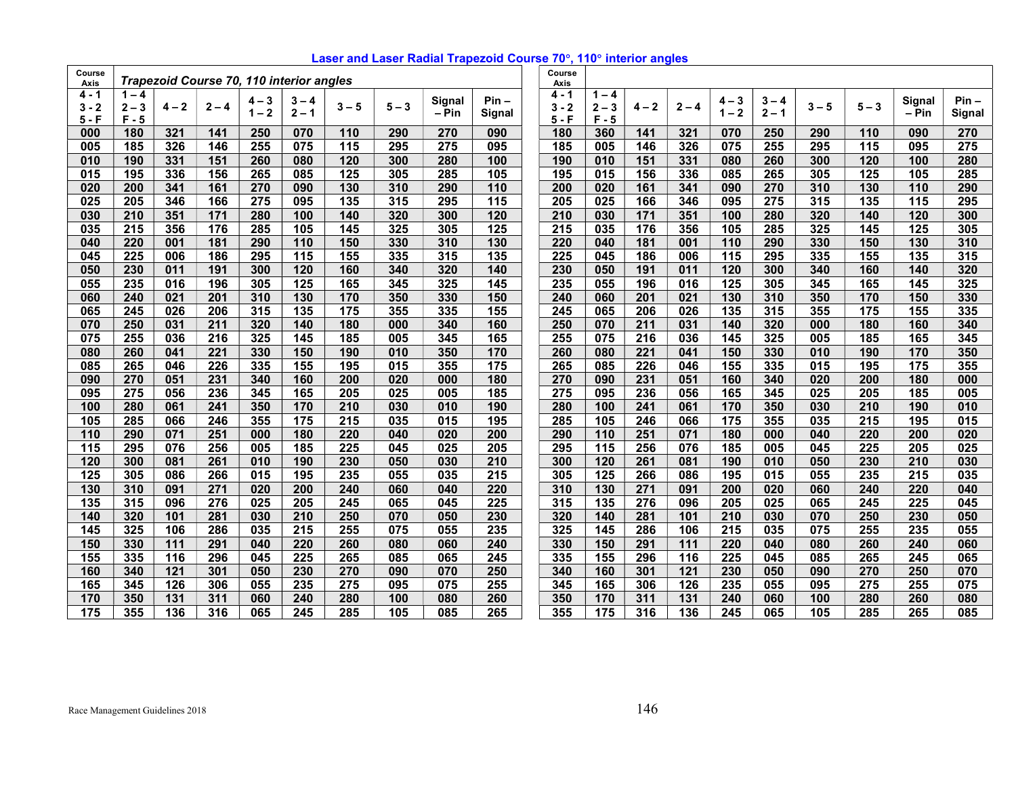| Laser and Laser Radial Trapezoid Course 70°, 110° interior angles |  |  |
|-------------------------------------------------------------------|--|--|
|-------------------------------------------------------------------|--|--|

| Course<br>Axis |                  |         |         |                    | Trapezoid Course 70, 110 interior angles |                 |         |                 |                   | Course<br>Axis |         |                  |         |                    |                    |         |         |                 |                  |
|----------------|------------------|---------|---------|--------------------|------------------------------------------|-----------------|---------|-----------------|-------------------|----------------|---------|------------------|---------|--------------------|--------------------|---------|---------|-----------------|------------------|
| 4 - 1          | $1 - 4$          |         |         |                    |                                          |                 |         |                 |                   | $4 - 1$        | $1 - 4$ |                  |         |                    |                    |         |         |                 | $Pin -$          |
| $3 - 2$        | $2 - 3$          | $4 - 2$ | $2 - 4$ | $4 - 3$<br>$1 - 2$ | 3<br>$-4$<br>$2 - 1$                     | $3 - 5$         | $5 - 3$ | Signal<br>- Pin | $Pin -$<br>Signal | $3 - 2$        | $2 - 3$ | $4 - 2$          | $2 - 4$ | $4 - 3$<br>$1 - 2$ | $3 - 4$<br>$2 - 1$ | $3 - 5$ | $5 - 3$ | Signal<br>– Pin | Signal           |
| $5 - F$        | $F - 5$          |         |         |                    |                                          |                 |         |                 |                   | $5 - F$        | $F - 5$ |                  |         |                    |                    |         |         |                 |                  |
| 000            | 180              | 321     | 141     | 250                | 070                                      | 110             | 290     | 270             | 090               | 180            | 360     | 141              | 321     | 070                | 250                | 290     | 110     | 090             | 270              |
| 005            | 185              | 326     | 146     | 255                | 075                                      | 115             | 295     | 275             | 095               | 185            | 005     | 146              | 326     | 075                | 255                | 295     | 115     | 095             | $\overline{275}$ |
| 010            | 190              | 331     | 151     | 260                | 080                                      | 120             | 300     | 280             | 100               | 190            | 010     | 151              | 331     | 080                | 260                | 300     | 120     | 100             | 280              |
| 015            | 195              | 336     | 156     | 265                | 085                                      | 125             | 305     | 285             | 105               | 195            | 015     | 156              | 336     | 085                | 265                | 305     | 125     | 105             | 285              |
| 020            | 200              | 341     | 161     | 270                | 090                                      | 130             | 310     | 290             | 110               | 200            | 020     | 161              | 341     | 090                | 270                | 310     | 130     | 110             | 290              |
| 025            | $\overline{205}$ | 346     | 166     | 275                | 095                                      | 135             | 315     | 295             | 115               | 205            | 025     | 166              | 346     | 095                | 275                | 315     | 135     | 115             | 295              |
| 030            | 210              | 351     | 171     | 280                | 100                                      | 140             | 320     | 300             | 120               | 210            | 030     | 171              | 351     | 100                | 280                | 320     | 140     | 120             | 300              |
| 035            | 215              | 356     | 176     | 285                | 105                                      | 145             | 325     | 305             | 125               | 215            | 035     | 176              | 356     | 105                | 285                | 325     | 145     | 125             | 305              |
| 040            | 220              | 001     | 181     | 290                | 110                                      | 150             | 330     | 310             | 130               | 220            | 040     | 181              | 001     | 110                | 290                | 330     | 150     | 130             | 310              |
| 045            | 225              | 006     | 186     | 295                | 115                                      | 155             | 335     | 315             | 135               | 225            | 045     | 186              | 006     | 115                | 295                | 335     | 155     | 135             | 315              |
| 050            | 230              | 011     | 191     | 300                | 120                                      | 160             | 340     | 320             | 140               | 230            | 050     | 191              | 011     | 120                | 300                | 340     | 160     | 140             | 320              |
| 055            | 235              | 016     | 196     | 305                | 125                                      | 165             | 345     | 325             | 145               | 235            | 055     | 196              | 016     | 125                | 305                | 345     | 165     | 145             | 325              |
| 060            | 240              | 021     | 201     | 310                | 130                                      | 170             | 350     | 330             | 150               | 240            | 060     | 201              | 021     | 130                | 310                | 350     | 170     | 150             | 330              |
| 065            | 245              | 026     | 206     | 315                | 135                                      | $\frac{1}{175}$ | 355     | 335             | 155               | 245            | 065     | 206              | 026     | 135                | 315                | 355     | 175     | 155             | 335              |
| 070            | 250              | 031     | 211     | 320                | 140                                      | 180             | 000     | 340             | 160               | 250            | 070     | $\overline{211}$ | 031     | $\frac{140}{ }$    | 320                | 000     | 180     | 160             | 340              |
| 075            | 255              | 036     | 216     | 325                | 145                                      | 185             | 005     | 345             | 165               | 255            | 075     | 216              | 036     | 145                | 325                | 005     | 185     | 165             | 345              |
| 080            | 260              | 041     | 221     | 330                | 150                                      | 190             | 010     | 350             | 170               | 260            | 080     | 221              | 041     | 150                | 330                | 010     | 190     | 170             | 350              |
| 085            | 265              | 046     | 226     | 335                | 155                                      | 195             | 015     | 355             | 175               | 265            | 085     | 226              | 046     | 155                | 335                | 015     | 195     | 175             | 355              |
| 090            | 270              | 051     | 231     | 340                | 160                                      | 200             | 020     | 000             | 180               | 270            | 090     | 231              | 051     | 160                | 340                | 020     | 200     | 180             | 000              |
| 095            | 275              | 056     | 236     | 345                | 165                                      | 205             | 025     | 005             | 185               | 275            | 095     | 236              | 056     | 165                | 345                | 025     | 205     | 185             | 005              |
| 100            | 280              | 061     | 241     | 350                | 170                                      | 210             | 030     | 010             | 190               | 280            | 100     | 241              | 061     | 170                | 350                | 030     | 210     | 190             | 010              |
| 105            | 285              | 066     | 246     | 355                | 175                                      | 215             | 035     | 015             | 195               | 285            | 105     | 246              | 066     | 175                | 355                | 035     | 215     | 195             | 015              |
| 110            | 290              | 071     | 251     | 000                | 180                                      | 220             | 040     | 020             | 200               | 290            | 110     | 251              | 071     | 180                | 000                | 040     | 220     | 200             | 020              |
| 115            | 295              | 076     | 256     | 005                | 185                                      | 225             | 045     | 025             | 205               | 295            | 115     | 256              | 076     | 185                | 005                | 045     | 225     | 205             | 025              |
| 120            | 300              | 081     | 261     | 010                | 190                                      | 230             | 050     | 030             | 210               | 300            | 120     | 261              | 081     | 190                | 010                | 050     | 230     | 210             | 030              |
| 125            | 305              | 086     | 266     | 015                | 195                                      | 235             | 055     | 035             | 215               | 305            | 125     | 266              | 086     | 195                | 015                | 055     | 235     | 215             | 035              |
| 130            | 310              | 091     | 271     | 020                | 200                                      | 240             | 060     | 040             | 220               | 310            | 130     | 271              | 091     | 200                | 020                | 060     | 240     | 220             | 040              |
| 135            | 315              | 096     | 276     | 025                | 205                                      | 245             | 065     | 045             | 225               | 315            | 135     | 276              | 096     | 205                | 025                | 065     | 245     | 225             | 045              |
| 140            | 320              | 101     | 281     | 030                | 210                                      | 250             | 070     | 050             | 230               | 320            | 140     | 281              | 101     | 210                | 030                | 070     | 250     | 230             | 050              |
| 145            | 325              | 106     | 286     | 035                | 215                                      | 255             | 075     | 055             | 235               | 325            | 145     | 286              | 106     | 215                | 035                | 075     | 255     | 235             | 055              |
| 150            | 330              | 111     | 291     | 040                | 220                                      | 260             | 080     | 060             | 240               | 330            | 150     | 291              | 111     | 220                | 040                | 080     | 260     | 240             | 060              |
| 155            | 335              | 116     | 296     | 045                | 225                                      | 265             | 085     | 065             | 245               | 335            | 155     | 296              | 116     | 225                | 045                | 085     | 265     | 245             | 065              |
| 160            | 340              | 121     | 301     | 050                | 230                                      | 270             | 090     | 070             | 250               | 340            | 160     | 301              | 121     | 230                | 050                | 090     | 270     | 250             | 070              |
| 165            | 345              | 126     | 306     | 055                | 235                                      | 275             | 095     | 075             | 255               | 345            | 165     | 306              | 126     | 235                | 055                | 095     | 275     | 255             | 075              |
| 170            | 350              | 131     | 311     | 060                | 240                                      | 280             | 100     | 080             | 260               | 350            | 170     | 311              | 131     | 240                | 060                | 100     | 280     | 260             | 080              |
| 175            | 355              | 136     | 316     | 065                | 245                                      | 285             | 105     | 085             | 265               | 355            | 175     | 316              | 136     | 245                | 065                | 105     | 285     | 265             | 085              |